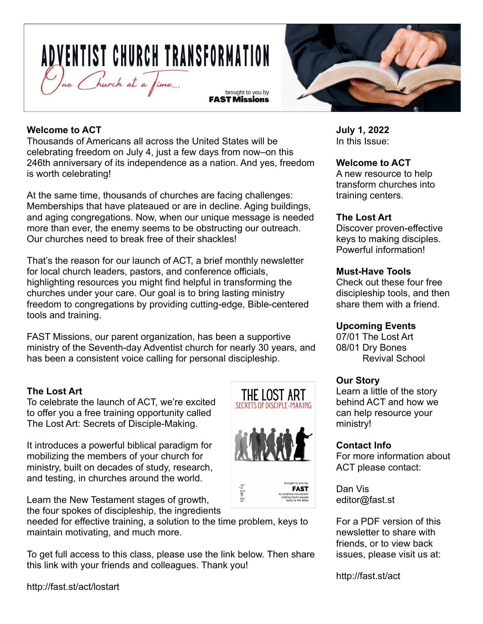# **ADVENTIST CHURCH TRANSFORMATION** Une Church at a Jime... brought to you by

**FAST Missions** 



## **Welcome to ACT**

Thousands of Americans all across the United States will be celebrating freedom on July 4, just a few days from now–on this 246th anniversary of its independence as a nation. And yes, freedom is worth celebrating!

At the same time, thousands of churches are facing challenges: Memberships that have plateaued or are in decline. Aging buildings, and aging congregations. Now, when our unique message is needed more than ever, the enemy seems to be obstructing our outreach. Our churches need to break free of their shackles!

That's the reason for our launch of ACT, a brief monthly newsletter for local church leaders, pastors, and conference officials, highlighting resources you might find helpful in transforming the churches under your care. Our goal is to bring lasting ministry freedom to congregations by providing cutting-edge, Bible-centered tools and training.

FAST Missions, our parent organization, has been a supportive ministry of the Seventh-day Adventist church for nearly 30 years, and has been a consistent voice calling for personal discipleship.

## **The Lost Art**

To celebrate the launch of ACT, we're excited to offer you a free training opportunity called The Lost Art: Secrets of Disciple-Making.

It introduces a powerful biblical paradigm for mobilizing the members of your church for ministry, built on decades of study, research, and testing, in churches around the world.

Learn the New Testament stages of growth, the four spokes of discipleship, the ingredients

needed for effective training, a solution to the time problem, keys to maintain motivating, and much more.

To get full access to this class, please use the link below. Then share this link with your friends and colleagues. Thank you!

THE LOST ART SECRETS OF DISCIPLE-MAKING



 $\mathsf{by}\,\mathsf{Dan}\,\mathsf{Vis}$ 



**July 1, 2022** In this Issue:

## **Welcome to ACT**

A new resource to help transform churches into training centers.

## **The Lost Art**

Discover proven-effective keys to making disciples. Powerful information!

## **Must-Have Tools**

Check out these four free discipleship tools, and then share them with a friend.

## **Upcoming Events**

07/01 The Lost Art 08/01 Dry Bones Revival School

## **Our Story**

Learn a little of the story behind ACT and how we can help resource your ministry!

#### **Contact Info**

For more information about ACT please contact:

Dan Vis editor@fast.st

For a PDF version of this newsletter to share with friends, or to view back issues, please visit us at:

http://fast.st/act

http://fast.st/act/lostart